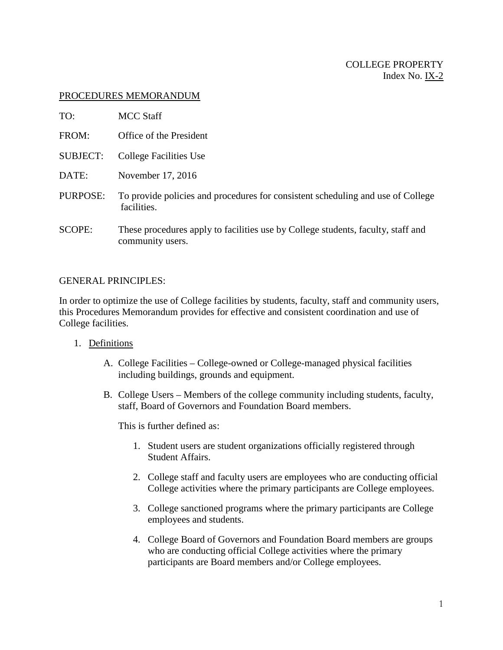### PROCEDURES MEMORANDUM

| TO:             | <b>MCC Staff</b>                                                                                     |
|-----------------|------------------------------------------------------------------------------------------------------|
| FROM:           | Office of the President                                                                              |
| <b>SUBJECT:</b> | College Facilities Use                                                                               |
| DATE:           | November 17, 2016                                                                                    |
| PURPOSE:        | To provide policies and procedures for consistent scheduling and use of College<br>facilities.       |
| SCOPE:          | These procedures apply to facilities use by College students, faculty, staff and<br>community users. |

### GENERAL PRINCIPLES:

In order to optimize the use of College facilities by students, faculty, staff and community users, this Procedures Memorandum provides for effective and consistent coordination and use of College facilities.

- 1. Definitions
	- A. College Facilities College-owned or College-managed physical facilities including buildings, grounds and equipment.
	- B. College Users Members of the college community including students, faculty, staff, Board of Governors and Foundation Board members.

This is further defined as:

- 1. Student users are student organizations officially registered through Student Affairs.
- 2. College staff and faculty users are employees who are conducting official College activities where the primary participants are College employees.
- 3. College sanctioned programs where the primary participants are College employees and students.
- 4. College Board of Governors and Foundation Board members are groups who are conducting official College activities where the primary participants are Board members and/or College employees.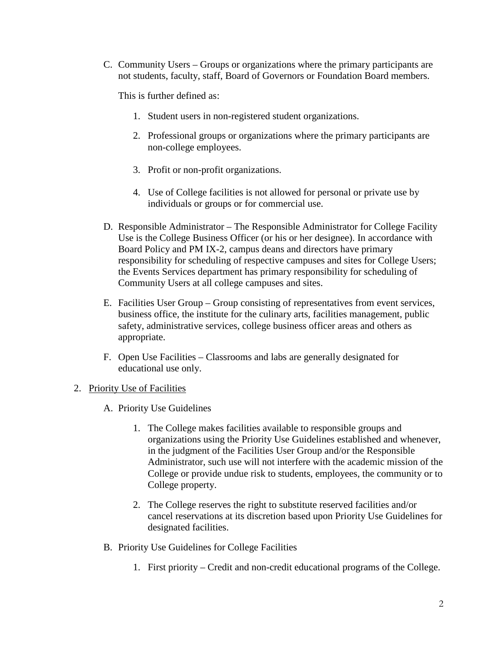C. Community Users – Groups or organizations where the primary participants are not students, faculty, staff, Board of Governors or Foundation Board members.

This is further defined as:

- 1. Student users in non-registered student organizations.
- 2. Professional groups or organizations where the primary participants are non-college employees.
- 3. Profit or non-profit organizations.
- 4. Use of College facilities is not allowed for personal or private use by individuals or groups or for commercial use.
- D. Responsible Administrator The Responsible Administrator for College Facility Use is the College Business Officer (or his or her designee). In accordance with Board Policy and PM IX-2, campus deans and directors have primary responsibility for scheduling of respective campuses and sites for College Users; the Events Services department has primary responsibility for scheduling of Community Users at all college campuses and sites.
- E. Facilities User Group Group consisting of representatives from event services, business office, the institute for the culinary arts, facilities management, public safety, administrative services, college business officer areas and others as appropriate.
- F. Open Use Facilities Classrooms and labs are generally designated for educational use only.
- 2. Priority Use of Facilities
	- A. Priority Use Guidelines
		- 1. The College makes facilities available to responsible groups and organizations using the Priority Use Guidelines established and whenever, in the judgment of the Facilities User Group and/or the Responsible Administrator, such use will not interfere with the academic mission of the College or provide undue risk to students, employees, the community or to College property.
		- 2. The College reserves the right to substitute reserved facilities and/or cancel reservations at its discretion based upon Priority Use Guidelines for designated facilities.
	- B. Priority Use Guidelines for College Facilities
		- 1. First priority Credit and non-credit educational programs of the College.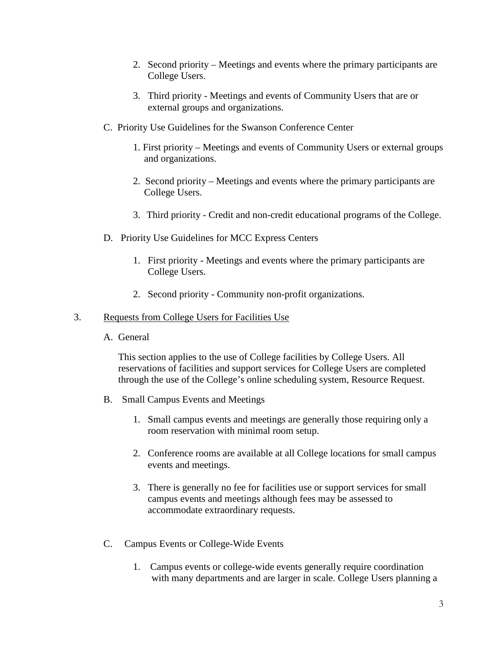- 2. Second priority Meetings and events where the primary participants are College Users.
- 3. Third priority Meetings and events of Community Users that are or external groups and organizations.
- C. Priority Use Guidelines for the Swanson Conference Center
	- 1. First priority Meetings and events of Community Users or external groups and organizations.
	- 2. Second priority Meetings and events where the primary participants are College Users.
	- 3. Third priority Credit and non-credit educational programs of the College.
- D. Priority Use Guidelines for MCC Express Centers
	- 1. First priority Meetings and events where the primary participants are College Users.
	- 2. Second priority Community non-profit organizations.

### 3. Requests from College Users for Facilities Use

A. General

This section applies to the use of College facilities by College Users. All reservations of facilities and support services for College Users are completed through the use of the College's online scheduling system, Resource Request.

- B. Small Campus Events and Meetings
	- 1. Small campus events and meetings are generally those requiring only a room reservation with minimal room setup.
	- 2. Conference rooms are available at all College locations for small campus events and meetings.
	- 3. There is generally no fee for facilities use or support services for small campus events and meetings although fees may be assessed to accommodate extraordinary requests.
- C. Campus Events or College-Wide Events
	- 1. Campus events or college-wide events generally require coordination with many departments and are larger in scale. College Users planning a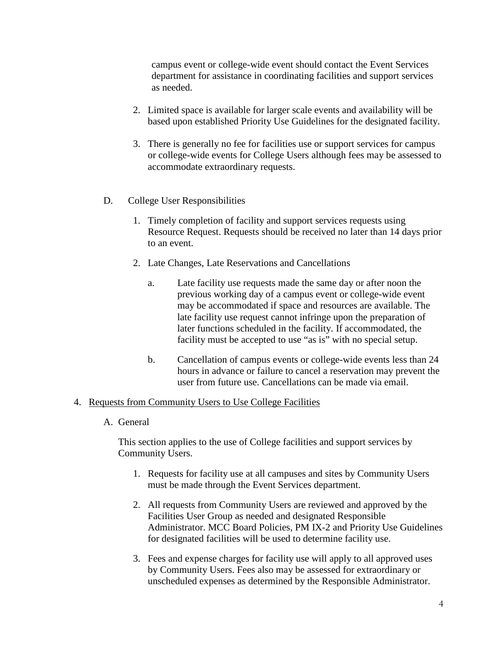campus event or college-wide event should contact the Event Services department for assistance in coordinating facilities and support services as needed.

- 2. Limited space is available for larger scale events and availability will be based upon established Priority Use Guidelines for the designated facility.
- 3. There is generally no fee for facilities use or support services for campus or college-wide events for College Users although fees may be assessed to accommodate extraordinary requests.
- D. College User Responsibilities
	- 1. Timely completion of facility and support services requests using Resource Request. Requests should be received no later than 14 days prior to an event.
	- 2. Late Changes, Late Reservations and Cancellations
		- a. Late facility use requests made the same day or after noon the previous working day of a campus event or college-wide event may be accommodated if space and resources are available. The late facility use request cannot infringe upon the preparation of later functions scheduled in the facility. If accommodated, the facility must be accepted to use "as is" with no special setup.
		- b. Cancellation of campus events or college-wide events less than 24 hours in advance or failure to cancel a reservation may prevent the user from future use. Cancellations can be made via email.

### 4. Requests from Community Users to Use College Facilities

A. General

This section applies to the use of College facilities and support services by Community Users.

- 1. Requests for facility use at all campuses and sites by Community Users must be made through the Event Services department.
- 2. All requests from Community Users are reviewed and approved by the Facilities User Group as needed and designated Responsible Administrator. MCC Board Policies, PM IX-2 and Priority Use Guidelines for designated facilities will be used to determine facility use.
- 3. Fees and expense charges for facility use will apply to all approved uses by Community Users. Fees also may be assessed for extraordinary or unscheduled expenses as determined by the Responsible Administrator.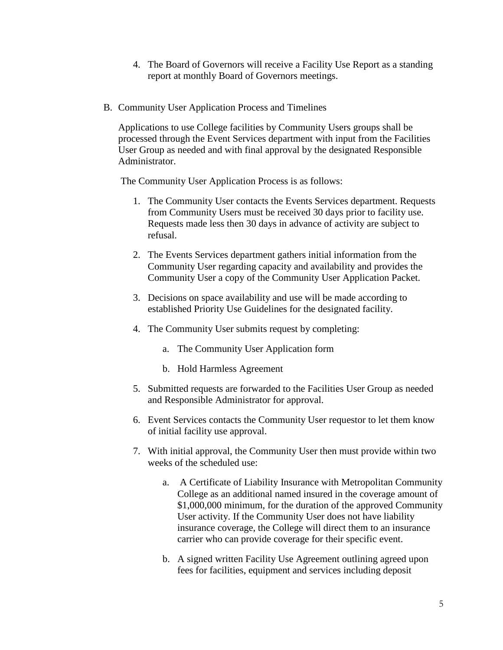- 4. The Board of Governors will receive a Facility Use Report as a standing report at monthly Board of Governors meetings.
- B. Community User Application Process and Timelines

Applications to use College facilities by Community Users groups shall be processed through the Event Services department with input from the Facilities User Group as needed and with final approval by the designated Responsible Administrator.

The Community User Application Process is as follows:

- 1. The Community User contacts the Events Services department. Requests from Community Users must be received 30 days prior to facility use. Requests made less then 30 days in advance of activity are subject to refusal.
- 2. The Events Services department gathers initial information from the Community User regarding capacity and availability and provides the Community User a copy of the Community User Application Packet.
- 3. Decisions on space availability and use will be made according to established Priority Use Guidelines for the designated facility.
- 4. The Community User submits request by completing:
	- a. The Community User Application form
	- b. Hold Harmless Agreement
- 5. Submitted requests are forwarded to the Facilities User Group as needed and Responsible Administrator for approval.
- 6. Event Services contacts the Community User requestor to let them know of initial facility use approval.
- 7. With initial approval, the Community User then must provide within two weeks of the scheduled use:
	- a. A Certificate of Liability Insurance with Metropolitan Community College as an additional named insured in the coverage amount of \$1,000,000 minimum, for the duration of the approved Community User activity. If the Community User does not have liability insurance coverage, the College will direct them to an insurance carrier who can provide coverage for their specific event.
	- b. A signed written Facility Use Agreement outlining agreed upon fees for facilities, equipment and services including deposit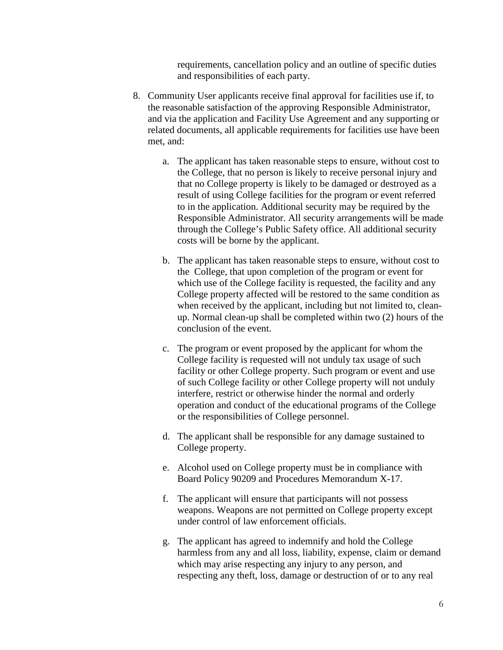requirements, cancellation policy and an outline of specific duties and responsibilities of each party.

- 8. Community User applicants receive final approval for facilities use if, to the reasonable satisfaction of the approving Responsible Administrator, and via the application and Facility Use Agreement and any supporting or related documents, all applicable requirements for facilities use have been met, and:
	- a. The applicant has taken reasonable steps to ensure, without cost to the College, that no person is likely to receive personal injury and that no College property is likely to be damaged or destroyed as a result of using College facilities for the program or event referred to in the application. Additional security may be required by the Responsible Administrator. All security arrangements will be made through the College's Public Safety office. All additional security costs will be borne by the applicant.
	- b. The applicant has taken reasonable steps to ensure, without cost to the College, that upon completion of the program or event for which use of the College facility is requested, the facility and any College property affected will be restored to the same condition as when received by the applicant, including but not limited to, cleanup. Normal clean-up shall be completed within two (2) hours of the conclusion of the event.
	- c. The program or event proposed by the applicant for whom the College facility is requested will not unduly tax usage of such facility or other College property. Such program or event and use of such College facility or other College property will not unduly interfere, restrict or otherwise hinder the normal and orderly operation and conduct of the educational programs of the College or the responsibilities of College personnel.
	- d. The applicant shall be responsible for any damage sustained to College property.
	- e. Alcohol used on College property must be in compliance with Board Policy 90209 and Procedures Memorandum X-17.
	- f. The applicant will ensure that participants will not possess weapons. Weapons are not permitted on College property except under control of law enforcement officials.
	- g. The applicant has agreed to indemnify and hold the College harmless from any and all loss, liability, expense, claim or demand which may arise respecting any injury to any person, and respecting any theft, loss, damage or destruction of or to any real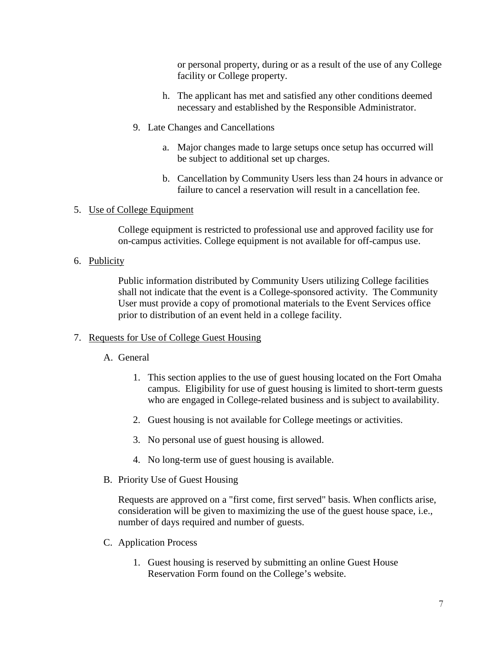or personal property, during or as a result of the use of any College facility or College property.

- h. The applicant has met and satisfied any other conditions deemed necessary and established by the Responsible Administrator.
- 9. Late Changes and Cancellations
	- a. Major changes made to large setups once setup has occurred will be subject to additional set up charges.
	- b. Cancellation by Community Users less than 24 hours in advance or failure to cancel a reservation will result in a cancellation fee.

### 5. Use of College Equipment

College equipment is restricted to professional use and approved facility use for on-campus activities. College equipment is not available for off-campus use.

## 6. Publicity

Public information distributed by Community Users utilizing College facilities shall not indicate that the event is a College-sponsored activity. The Community User must provide a copy of promotional materials to the Event Services office prior to distribution of an event held in a college facility.

### 7. Requests for Use of College Guest Housing

# A. General

- 1. This section applies to the use of guest housing located on the Fort Omaha campus. Eligibility for use of guest housing is limited to short-term guests who are engaged in College-related business and is subject to availability.
- 2. Guest housing is not available for College meetings or activities.
- 3. No personal use of guest housing is allowed.
- 4. No long-term use of guest housing is available.
- B. Priority Use of Guest Housing

Requests are approved on a "first come, first served" basis. When conflicts arise, consideration will be given to maximizing the use of the guest house space, i.e., number of days required and number of guests.

- C. Application Process
	- 1. Guest housing is reserved by submitting an online Guest House Reservation Form found on the College's website.